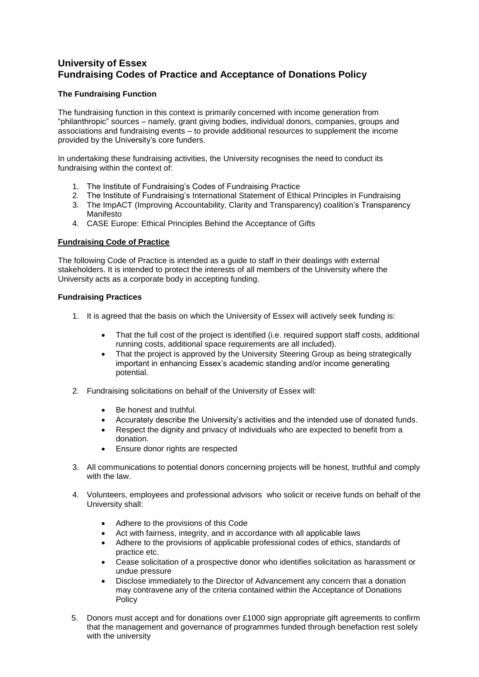# **University of Essex Fundraising Codes of Practice and Acceptance of Donations Policy**

## **The Fundraising Function**

The fundraising function in this context is primarily concerned with income generation from "philanthropic" sources – namely, grant giving bodies, individual donors, companies, groups and associations and fundraising events – to provide additional resources to supplement the income provided by the University's core funders.

In undertaking these fundraising activities, the University recognises the need to conduct its fundraising within the context of:

- 1. The Institute of Fundraising's Codes of Fundraising Practice
- 2. The Institute of Fundraising's International Statement of Ethical Principles in Fundraising
- 3. The ImpACT (Improving Accountability, Clarity and Transparency) coalition's Transparency Manifesto
- 4. CASE Europe: Ethical Principles Behind the Acceptance of Gifts

## **Fundraising Code of Practice**

The following Code of Practice is intended as a guide to staff in their dealings with external stakeholders. It is intended to protect the interests of all members of the University where the University acts as a corporate body in accepting funding.

## **Fundraising Practices**

- 1. It is agreed that the basis on which the University of Essex will actively seek funding is:
	- That the full cost of the project is identified (i.e. required support staff costs, additional running costs, additional space requirements are all included).
	- That the project is approved by the University Steering Group as being strategically important in enhancing Essex's academic standing and/or income generating potential.
- 2. Fundraising solicitations on behalf of the University of Essex will:
	- Be honest and truthful.
	- Accurately describe the University's activities and the intended use of donated funds.
	- Respect the dignity and privacy of individuals who are expected to benefit from a donation.
	- Ensure donor rights are respected
- 3. All communications to potential donors concerning projects will be honest, truthful and comply with the law.
- 4. Volunteers, employees and professional advisors who solicit or receive funds on behalf of the University shall:
	- Adhere to the provisions of this Code
	- Act with fairness, integrity, and in accordance with all applicable laws
	- Adhere to the provisions of applicable professional codes of ethics, standards of practice etc.
	- Cease solicitation of a prospective donor who identifies solicitation as harassment or undue pressure
	- Disclose immediately to the Director of Advancement any concern that a donation may contravene any of the criteria contained within the Acceptance of Donations Policy
- 5. Donors must accept and for donations over £1000 sign appropriate gift agreements to confirm that the management and governance of programmes funded through benefaction rest solely with the university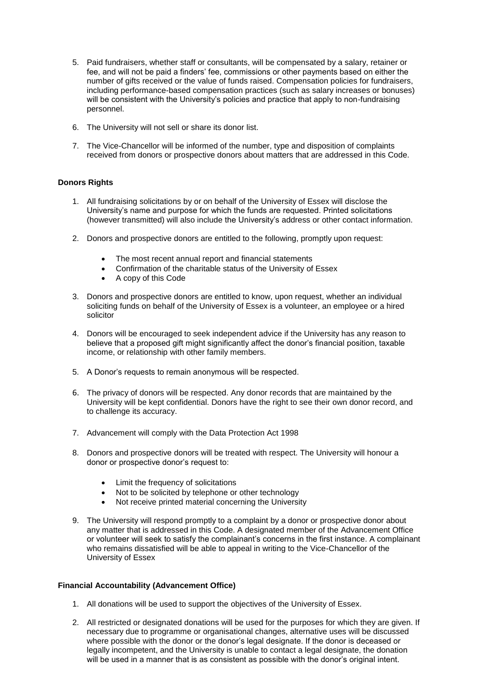- 5. Paid fundraisers, whether staff or consultants, will be compensated by a salary, retainer or fee, and will not be paid a finders' fee, commissions or other payments based on either the number of gifts received or the value of funds raised. Compensation policies for fundraisers, including performance-based compensation practices (such as salary increases or bonuses) will be consistent with the University's policies and practice that apply to non-fundraising personnel.
- 6. The University will not sell or share its donor list.
- 7. The Vice-Chancellor will be informed of the number, type and disposition of complaints received from donors or prospective donors about matters that are addressed in this Code.

## **Donors Rights**

- 1. All fundraising solicitations by or on behalf of the University of Essex will disclose the University's name and purpose for which the funds are requested. Printed solicitations (however transmitted) will also include the University's address or other contact information.
- 2. Donors and prospective donors are entitled to the following, promptly upon request:
	- The most recent annual report and financial statements
	- Confirmation of the charitable status of the University of Essex
	- A copy of this Code
- 3. Donors and prospective donors are entitled to know, upon request, whether an individual soliciting funds on behalf of the University of Essex is a volunteer, an employee or a hired solicitor
- 4. Donors will be encouraged to seek independent advice if the University has any reason to believe that a proposed gift might significantly affect the donor's financial position, taxable income, or relationship with other family members.
- 5. A Donor's requests to remain anonymous will be respected.
- 6. The privacy of donors will be respected. Any donor records that are maintained by the University will be kept confidential. Donors have the right to see their own donor record, and to challenge its accuracy.
- 7. Advancement will comply with the Data Protection Act 1998
- 8. Donors and prospective donors will be treated with respect. The University will honour a donor or prospective donor's request to:
	- Limit the frequency of solicitations
	- Not to be solicited by telephone or other technology
	- Not receive printed material concerning the University
- 9. The University will respond promptly to a complaint by a donor or prospective donor about any matter that is addressed in this Code. A designated member of the Advancement Office or volunteer will seek to satisfy the complainant's concerns in the first instance. A complainant who remains dissatisfied will be able to appeal in writing to the Vice-Chancellor of the University of Essex

## **Financial Accountability (Advancement Office)**

- 1. All donations will be used to support the objectives of the University of Essex.
- 2. All restricted or designated donations will be used for the purposes for which they are given. If necessary due to programme or organisational changes, alternative uses will be discussed where possible with the donor or the donor's legal designate. If the donor is deceased or legally incompetent, and the University is unable to contact a legal designate, the donation will be used in a manner that is as consistent as possible with the donor's original intent.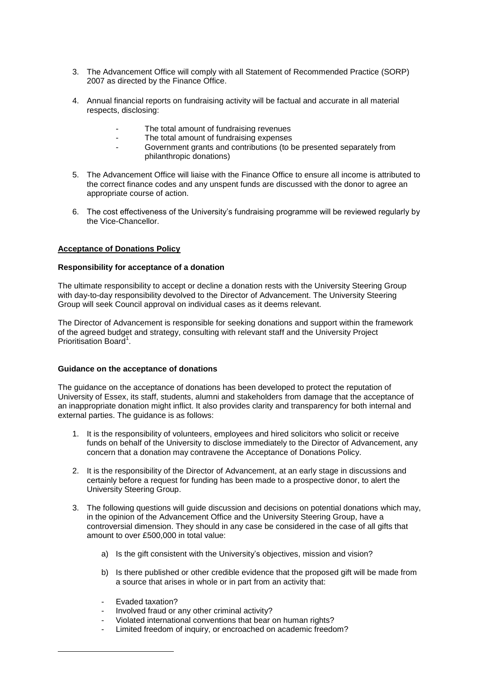- 3. The Advancement Office will comply with all Statement of Recommended Practice (SORP) 2007 as directed by the Finance Office.
- 4. Annual financial reports on fundraising activity will be factual and accurate in all material respects, disclosing:
	- The total amount of fundraising revenues
	- The total amount of fundraising expenses
	- Government grants and contributions (to be presented separately from philanthropic donations)
- 5. The Advancement Office will liaise with the Finance Office to ensure all income is attributed to the correct finance codes and any unspent funds are discussed with the donor to agree an appropriate course of action.
- 6. The cost effectiveness of the University's fundraising programme will be reviewed regularly by the Vice-Chancellor.

## **Acceptance of Donations Policy**

#### **Responsibility for acceptance of a donation**

The ultimate responsibility to accept or decline a donation rests with the University Steering Group with day-to-day responsibility devolved to the Director of Advancement. The University Steering Group will seek Council approval on individual cases as it deems relevant.

The Director of Advancement is responsible for seeking donations and support within the framework of the agreed budget and strategy, consulting with relevant staff and the University Project Prioritisation Board<sup>1</sup>.

#### **Guidance on the acceptance of donations**

The guidance on the acceptance of donations has been developed to protect the reputation of University of Essex, its staff, students, alumni and stakeholders from damage that the acceptance of an inappropriate donation might inflict. It also provides clarity and transparency for both internal and external parties. The guidance is as follows:

- 1. It is the responsibility of volunteers, employees and hired solicitors who solicit or receive funds on behalf of the University to disclose immediately to the Director of Advancement, any concern that a donation may contravene the Acceptance of Donations Policy.
- 2. It is the responsibility of the Director of Advancement, at an early stage in discussions and certainly before a request for funding has been made to a prospective donor, to alert the University Steering Group.
- 3. The following questions will guide discussion and decisions on potential donations which may, in the opinion of the Advancement Office and the University Steering Group, have a controversial dimension. They should in any case be considered in the case of all gifts that amount to over £500,000 in total value:
	- a) Is the gift consistent with the University's objectives, mission and vision?
	- b) Is there published or other credible evidence that the proposed gift will be made from a source that arises in whole or in part from an activity that:
	- Evaded taxation?

**.** 

- Involved fraud or any other criminal activity?
- Violated international conventions that bear on human rights?
- Limited freedom of inquiry, or encroached on academic freedom?